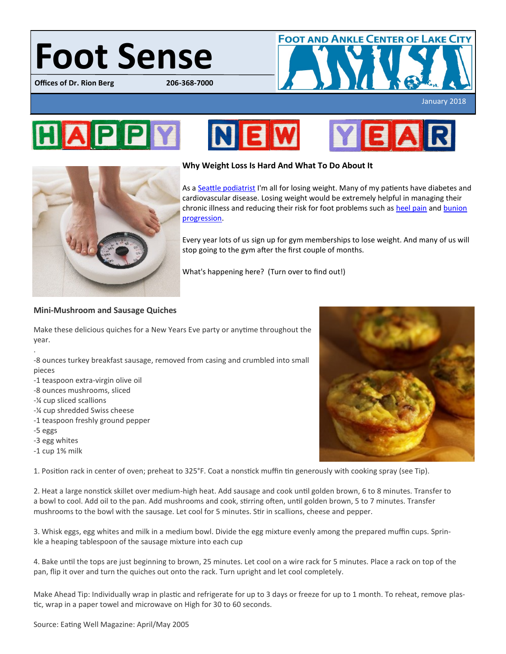# Foot Sense

**Offices of Dr. Rion Berg** 



January 2018

## HAPP







#### **Why Weight Loss Is Hard And What To Do About It**

As a [Seattle podiatrist](https://www.bergdpm.com/staff.html) I'm all for losing weight. Many of my patients have diabetes and cardiovascular disease. Losing weight would be extremely helpful in managing their chronic illness and reducing their risk for foot problems such as [heel pain](https://www.bergdpm.com/heel-pain.html) and bunion [progression.](https://www.bergdpm.com/bunions.html)

Every year lots of us sign up for gym memberships to lose weight. And many of us will stop going to the gym after the first couple of months.

What's happening here? (Turn over to find out!)

### **Mini-Mushroom and Sausage Quiches**

Make these delicious quiches for a New Years Eve party or anytime throughout the year.

-8 ounces turkey breakfast sausage, removed from casing and crumbled into small pieces

- -1 teaspoon extra-virgin olive oil
- -8 ounces mushrooms, sliced
- -¼ cup sliced scallions
- -¼ cup shredded Swiss cheese
- -1 teaspoon freshly ground pepper
- -5 eggs

.

- -3 egg whites
- -1 cup 1% milk

1. Position rack in center of oven; preheat to 325°F. Coat a nonstick muffin tin generously with cooking spray (see Tip).

2. Heat a large nonstick skillet over medium-high heat. Add sausage and cook until golden brown, 6 to 8 minutes. Transfer to a bowl to cool. Add oil to the pan. Add mushrooms and cook, stirring often, until golden brown, 5 to 7 minutes. Transfer mushrooms to the bowl with the sausage. Let cool for 5 minutes. Stir in scallions, cheese and pepper.

3. Whisk eggs, egg whites and milk in a medium bowl. Divide the egg mixture evenly among the prepared muffin cups. Sprinkle a heaping tablespoon of the sausage mixture into each cup

4. Bake until the tops are just beginning to brown, 25 minutes. Let cool on a wire rack for 5 minutes. Place a rack on top of the pan, flip it over and turn the quiches out onto the rack. Turn upright and let cool completely.

Make Ahead Tip: Individually wrap in plastic and refrigerate for up to 3 days or freeze for up to 1 month. To reheat, remove plastic, wrap in a paper towel and microwave on High for 30 to 60 seconds.